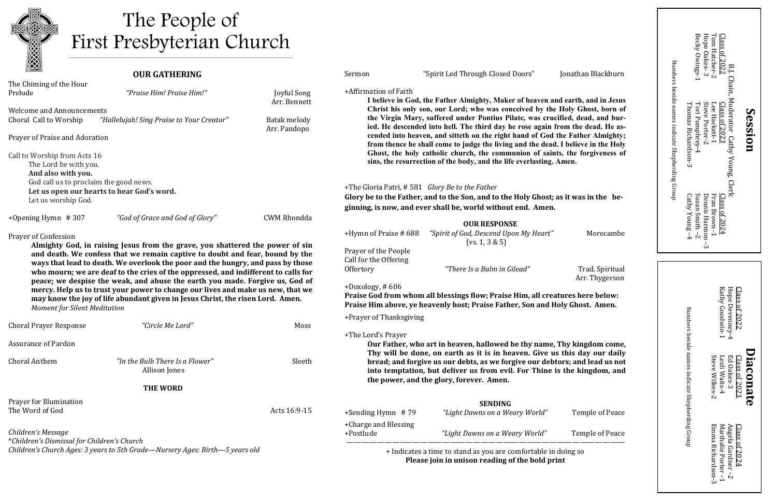# **OUR GATHERING**



# The People of First Presbyterian Church

| The Chiming of the Hour                                                                                                                                                                                                                               |                                                                                 |                                    | +Affirmation of Faith                                                                                                                                           |                                                                                                                                                                    |                 |
|-------------------------------------------------------------------------------------------------------------------------------------------------------------------------------------------------------------------------------------------------------|---------------------------------------------------------------------------------|------------------------------------|-----------------------------------------------------------------------------------------------------------------------------------------------------------------|--------------------------------------------------------------------------------------------------------------------------------------------------------------------|-----------------|
| Prelude                                                                                                                                                                                                                                               | "Praise Him! Praise Him!"                                                       | <b>Joyful Song</b><br>Arr. Bennett | I believe in God, the Father Almighty, Maker of heaven and earth, and in Jesus                                                                                  |                                                                                                                                                                    |                 |
| <b>Welcome and Announcements</b>                                                                                                                                                                                                                      |                                                                                 |                                    |                                                                                                                                                                 | Christ his only son, our Lord; who was conceived by the Holy Ghost, born of                                                                                        |                 |
| Choral Call to Worship                                                                                                                                                                                                                                | "Hallelujah! Sing Praise to Your Creator"                                       | Batak melody<br>Arr. Pandopo       | the Virgin Mary, suffered under Pontius Pilate, was crucified, dead, and bur-<br>ied. He descended into hell. The third day he rose again from the dead. He as- |                                                                                                                                                                    |                 |
| Prayer of Praise and Adoration                                                                                                                                                                                                                        |                                                                                 |                                    |                                                                                                                                                                 | cended into heaven, and sitteth on the right hand of God the Father Almighty;<br>from thence he shall come to judge the living and the dead. I believe in the Holy |                 |
| Call to Worship from Acts 16                                                                                                                                                                                                                          |                                                                                 |                                    | Ghost, the holy catholic church, the communion of saints, the forgiveness of                                                                                    |                                                                                                                                                                    |                 |
| The Lord be with you.                                                                                                                                                                                                                                 |                                                                                 |                                    |                                                                                                                                                                 | sins, the resurrection of the body, and the life everlasting. Amen.                                                                                                |                 |
| And also with you.                                                                                                                                                                                                                                    |                                                                                 |                                    |                                                                                                                                                                 |                                                                                                                                                                    |                 |
| God call us to proclaim the good news.<br>Let us open our hearts to hear God's word.                                                                                                                                                                  |                                                                                 |                                    | +The Gloria Patri, #581 Glory Be to the Father                                                                                                                  |                                                                                                                                                                    |                 |
| Let us worship God.                                                                                                                                                                                                                                   |                                                                                 |                                    | Glory be to the Father, and to the Son, and to the Holy Ghost; as it was in the be-                                                                             |                                                                                                                                                                    |                 |
|                                                                                                                                                                                                                                                       |                                                                                 |                                    |                                                                                                                                                                 | ginning, is now, and ever shall be, world without end. Amen.                                                                                                       |                 |
| +Opening Hymn $#307$                                                                                                                                                                                                                                  | "God of Grace and God of Glory"                                                 | <b>CWM Rhondda</b>                 |                                                                                                                                                                 | <b>OUR RESPONSE</b>                                                                                                                                                |                 |
| Prayer of Confession                                                                                                                                                                                                                                  |                                                                                 |                                    | +Hymn of Praise #688                                                                                                                                            | "Spirit of God, Descend Upon My Heart"                                                                                                                             | Morecambe       |
|                                                                                                                                                                                                                                                       | Almighty God, in raising Jesus from the grave, you shattered the power of sin   |                                    | Prayer of the People                                                                                                                                            | (vs. 1, 3 & 5)                                                                                                                                                     |                 |
|                                                                                                                                                                                                                                                       | and death. We confess that we remain captive to doubt and fear, bound by the    |                                    | Call for the Offering                                                                                                                                           |                                                                                                                                                                    |                 |
| ways that lead to death. We overlook the poor and the hungry, and pass by those<br>who mourn; we are deaf to the cries of the oppressed, and indifferent to calls for<br>peace; we despise the weak, and abuse the earth you made. Forgive us, God of |                                                                                 |                                    | Offertory                                                                                                                                                       | "There Is a Balm in Gilead"                                                                                                                                        | Trad. Spiritual |
|                                                                                                                                                                                                                                                       |                                                                                 |                                    |                                                                                                                                                                 |                                                                                                                                                                    | Arr. Thygerson  |
|                                                                                                                                                                                                                                                       | mercy. Help us to trust your power to change our lives and make us new, that we |                                    | $+$ Doxology, #606                                                                                                                                              | Praise God from whom all blessings flow; Praise Him, all creatures here below:                                                                                     |                 |
| <b>Moment for Silent Meditation</b>                                                                                                                                                                                                                   | may know the joy of life abundant given in Jesus Christ, the risen Lord. Amen.  |                                    |                                                                                                                                                                 | Praise Him above, ye heavenly host; Praise Father, Son and Holy Ghost. Amen.                                                                                       |                 |
|                                                                                                                                                                                                                                                       |                                                                                 |                                    | +Prayer of Thanksgiving                                                                                                                                         |                                                                                                                                                                    |                 |
| <b>Choral Prayer Response</b>                                                                                                                                                                                                                         | "Circle Me Lord"                                                                | Moss                               |                                                                                                                                                                 |                                                                                                                                                                    |                 |
|                                                                                                                                                                                                                                                       |                                                                                 |                                    | +The Lord's Prayer                                                                                                                                              |                                                                                                                                                                    |                 |
| <b>Assurance of Pardon</b>                                                                                                                                                                                                                            |                                                                                 |                                    |                                                                                                                                                                 | Our Father, who art in heaven, hallowed be thy name, Thy kingdom come,<br>Thy will be done, on earth as it is in heaven. Give us this day our daily                |                 |
| <b>Choral Anthem</b>                                                                                                                                                                                                                                  | "In the Bulb There Is a Flower"                                                 | Sleeth                             |                                                                                                                                                                 | bread; and forgive us our debts, as we forgive our debtors; and lead us not                                                                                        |                 |
|                                                                                                                                                                                                                                                       | Allison Jones                                                                   |                                    |                                                                                                                                                                 | into temptation, but deliver us from evil. For Thine is the kingdom, and                                                                                           |                 |
|                                                                                                                                                                                                                                                       |                                                                                 |                                    |                                                                                                                                                                 | the power, and the glory, forever. Amen.                                                                                                                           |                 |
|                                                                                                                                                                                                                                                       | <b>THE WORD</b>                                                                 |                                    |                                                                                                                                                                 |                                                                                                                                                                    |                 |
| Prayer for Illumination                                                                                                                                                                                                                               |                                                                                 |                                    |                                                                                                                                                                 | <b>SENDING</b>                                                                                                                                                     |                 |
| The Word of God                                                                                                                                                                                                                                       |                                                                                 | Acts 16:9-15                       | $+$ Sending Hymn #79                                                                                                                                            | "Light Dawns on a Weary World"                                                                                                                                     | Temple of Peace |
|                                                                                                                                                                                                                                                       |                                                                                 |                                    | +Charge and Blessing                                                                                                                                            |                                                                                                                                                                    |                 |
| Children's Message                                                                                                                                                                                                                                    |                                                                                 |                                    | +Postlude                                                                                                                                                       | "Light Dawns on a Weary World"                                                                                                                                     | Temple of Peace |
| *Children's Dismissal for Children's Church                                                                                                                                                                                                           | Children's Church Ages: 3 years to 5th Grade-Nursery Ages: Birth-5 years old    |                                    |                                                                                                                                                                 | + Indicates a time to stand as you are comfortable in doing so                                                                                                     |                 |
|                                                                                                                                                                                                                                                       |                                                                                 |                                    |                                                                                                                                                                 | Please join in unison reading of the bold print                                                                                                                    |                 |
|                                                                                                                                                                                                                                                       |                                                                                 |                                    |                                                                                                                                                                 |                                                                                                                                                                    |                 |

| + Indicates a time to stand as you are comfortable in doing so<br>Please join in unison reading of the bold print                                                                                                                                                                                                                                                                                                                                                                                                                                                                                                                                                                      |                                                                                           | Emma Richardson-3<br>Marthalie Porter-1<br>$\rm Class~of~2024$<br>Gardner-<br>Z                           |  |
|----------------------------------------------------------------------------------------------------------------------------------------------------------------------------------------------------------------------------------------------------------------------------------------------------------------------------------------------------------------------------------------------------------------------------------------------------------------------------------------------------------------------------------------------------------------------------------------------------------------------------------------------------------------------------------------|-------------------------------------------------------------------------------------------|-----------------------------------------------------------------------------------------------------------|--|
| +Charge and Blessing<br>+Postlude<br>"Light Dawns on a Weary World"<br>Temple of Peace                                                                                                                                                                                                                                                                                                                                                                                                                                                                                                                                                                                                 |                                                                                           | Angela                                                                                                    |  |
| <b>SENDING</b><br>+Sending Hymn #79<br>"Light Dawns on a Weary World"<br>Temple of Peace                                                                                                                                                                                                                                                                                                                                                                                                                                                                                                                                                                                               | indicate Shepherding Group                                                                |                                                                                                           |  |
| Thy will be done, on earth as it is in heaven. Give us this day our daily<br>bread; and forgive us our debts, as we forgive our debtors; and lead us not<br>into temptation, but deliver us from evil. For Thine is the kingdom, and<br>the power, and the glory, forever. Amen.                                                                                                                                                                                                                                                                                                                                                                                                       | names                                                                                     | Steve Wilkes-2<br>Lezli Waits-4<br>물<br>lass of 2023<br>aconate<br>Oakes-3                                |  |
| +The Lord's Prayer<br>Our Father, who art in heaven, hallowed be thy name, Thy kingdom come,                                                                                                                                                                                                                                                                                                                                                                                                                                                                                                                                                                                           | beside                                                                                    |                                                                                                           |  |
| Praise God from whom all blessings flow; Praise Him, all creatures here below:<br>Praise Him above, ye heavenly host; Praise Father, Son and Holy Ghost. Amen.<br>+Prayer of Thanksgiving                                                                                                                                                                                                                                                                                                                                                                                                                                                                                              | Numbers                                                                                   | Hope Devenney-4<br>Clas<br>Katl<br>ay Goodwin-<br>ū<br>0.025                                              |  |
| Prayer of the People<br>Call for the Offering<br>"There Is a Balm in Gilead"<br>Trad. Spiritual<br>Offertory<br>Arr. Thygerson<br>$+$ Doxology, #606                                                                                                                                                                                                                                                                                                                                                                                                                                                                                                                                   |                                                                                           |                                                                                                           |  |
| <b>OUR RESPONSE</b><br>"Spirit of God, Descend Upon My Heart"<br>+Hymn of Praise # 688<br>Morecambe<br>(vs. 1, 3 & 5)                                                                                                                                                                                                                                                                                                                                                                                                                                                                                                                                                                  | $\frac{1}{4}$<br>ω                                                                        |                                                                                                           |  |
| +The Gloria Patri, #581 Glory Be to the Father<br>Glory be to the Father, and to the Son, and to the Holy Ghost; as it was in the be-<br>ginning, is now, and ever shall be, world without end. Amen.                                                                                                                                                                                                                                                                                                                                                                                                                                                                                  | Susan Smith $-2$<br>Fran<br>Class<br>Dennis Harmon<br>Cathy Young                         | Brown<br>of 202                                                                                           |  |
| +Affirmation of Faith<br>I believe in God, the Father Almighty, Maker of heaven and earth, and in Jesus<br>Christ his only son, our Lord; who was conceived by the Holy Ghost, born of<br>the Virgin Mary, suffered under Pontius Pilate, was crucified, dead, and bur-<br>ied. He descended into hell. The third day he rose again from the dead. He as-<br>cended into heaven, and sitteth on the right hand of God the Father Almighty;<br>from thence he shall come to judge the living and the dead. I believe in the Holy<br>Ghost, the holy catholic church, the communion of saints, the forgiveness of<br>sins, the resurrection of the body, and the life everlasting. Amen. | Numbers beside names indicate Shepherding Group<br>Tori Pumphrey-4<br>Thomas Richardson-3 | Chain,<br>Moderator Cathy Young, Clerk<br>Steve Porter-2<br>Class of 2023<br>Lee Hackett-1<br>S<br>ession |  |
| "Spirit Led Through Closed Doors"<br>Jonathan Blackburn<br>Sermon                                                                                                                                                                                                                                                                                                                                                                                                                                                                                                                                                                                                                      | Becky Owings-1                                                                            | Hope Oakes-3<br>Tom Hatcher-2<br>Class<br>of 2022                                                         |  |